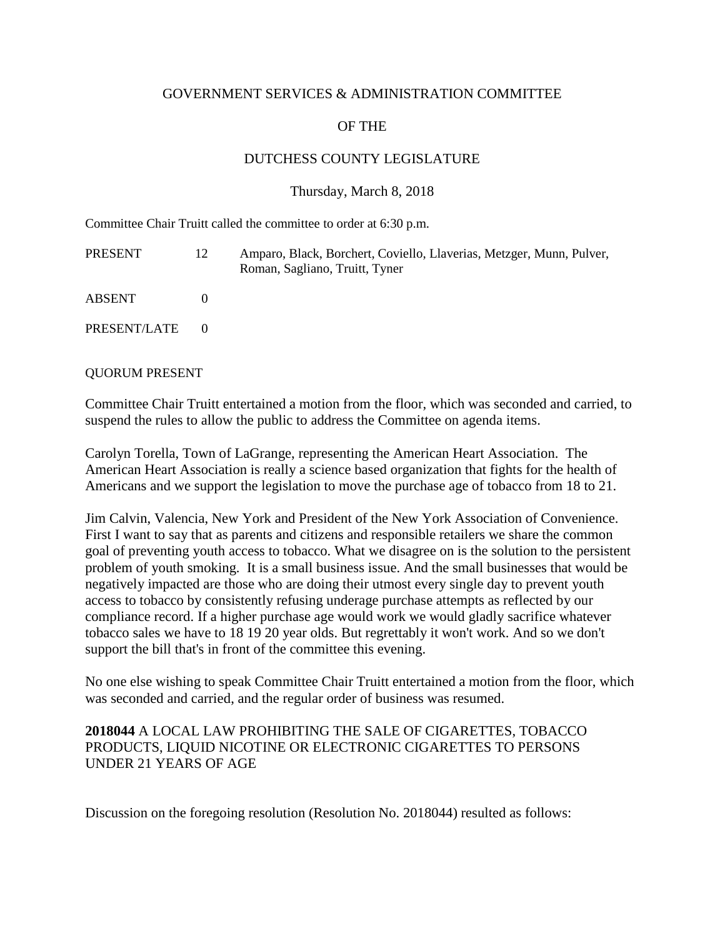### GOVERNMENT SERVICES & ADMINISTRATION COMMITTEE

# OF THE

## DUTCHESS COUNTY LEGISLATURE

### Thursday, March 8, 2018

Committee Chair Truitt called the committee to order at 6:30 p.m.

| PRESENT      | 12 | Amparo, Black, Borchert, Coviello, Llaverias, Metzger, Munn, Pulver,<br>Roman, Sagliano, Truitt, Tyner |
|--------------|----|--------------------------------------------------------------------------------------------------------|
| ABSENT       |    |                                                                                                        |
| PRESENT/LATE |    |                                                                                                        |

#### QUORUM PRESENT

Committee Chair Truitt entertained a motion from the floor, which was seconded and carried, to suspend the rules to allow the public to address the Committee on agenda items.

Carolyn Torella, Town of LaGrange, representing the American Heart Association. The American Heart Association is really a science based organization that fights for the health of Americans and we support the legislation to move the purchase age of tobacco from 18 to 21.

Jim Calvin, Valencia, New York and President of the New York Association of Convenience. First I want to say that as parents and citizens and responsible retailers we share the common goal of preventing youth access to tobacco. What we disagree on is the solution to the persistent problem of youth smoking. It is a small business issue. And the small businesses that would be negatively impacted are those who are doing their utmost every single day to prevent youth access to tobacco by consistently refusing underage purchase attempts as reflected by our compliance record. If a higher purchase age would work we would gladly sacrifice whatever tobacco sales we have to 18 19 20 year olds. But regrettably it won't work. And so we don't support the bill that's in front of the committee this evening.

No one else wishing to speak Committee Chair Truitt entertained a motion from the floor, which was seconded and carried, and the regular order of business was resumed.

## **2018044** A LOCAL LAW PROHIBITING THE SALE OF CIGARETTES, TOBACCO PRODUCTS, LIQUID NICOTINE OR ELECTRONIC CIGARETTES TO PERSONS UNDER 21 YEARS OF AGE

Discussion on the foregoing resolution (Resolution No. 2018044) resulted as follows: